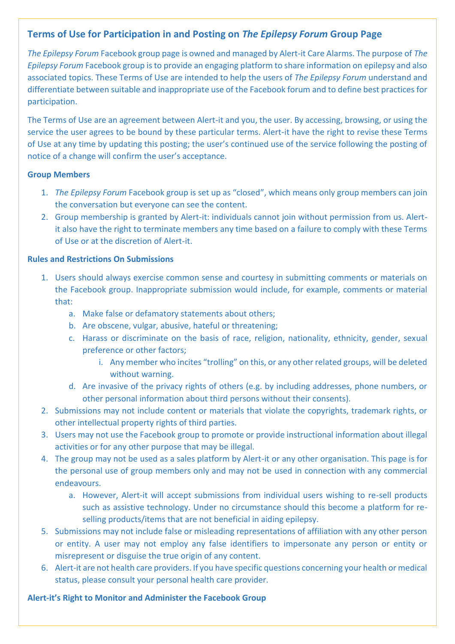# **Terms of Use for Participation in and Posting on** *The Epilepsy Forum* **Group Page**

*The Epilepsy Forum* Facebook group page is owned and managed by Alert-it Care Alarms. The purpose of *The Epilepsy Forum* Facebook group is to provide an engaging platform to share information on epilepsy and also associated topics. These Terms of Use are intended to help the users of *The Epilepsy Forum* understand and differentiate between suitable and inappropriate use of the Facebook forum and to define best practices for participation.

The Terms of Use are an agreement between Alert-it and you, the user. By accessing, browsing, or using the service the user agrees to be bound by these particular terms. Alert-it have the right to revise these Terms of Use at any time by updating this posting; the user's continued use of the service following the posting of notice of a change will confirm the user's acceptance.

#### **Group Members**

- 1. *The Epilepsy Forum* Facebook group is set up as "closed", which means only group members can join the conversation but everyone can see the content.
- 2. Group membership is granted by Alert-it: individuals cannot join without permission from us. Alertit also have the right to terminate members any time based on a failure to comply with these Terms of Use or at the discretion of Alert-it.

#### **Rules and Restrictions On Submissions**

- 1. Users should always exercise common sense and courtesy in submitting comments or materials on the Facebook group. Inappropriate submission would include, for example, comments or material that:
	- a. Make false or defamatory statements about others;
	- b. Are obscene, vulgar, abusive, hateful or threatening;
	- c. Harass or discriminate on the basis of race, religion, nationality, ethnicity, gender, sexual preference or other factors;
		- i. Any member who incites "trolling" on this, or any other related groups, will be deleted without warning.
	- d. Are invasive of the privacy rights of others (e.g. by including addresses, phone numbers, or other personal information about third persons without their consents).
- 2. Submissions may not include content or materials that violate the copyrights, trademark rights, or other intellectual property rights of third parties.
- 3. Users may not use the Facebook group to promote or provide instructional information about illegal activities or for any other purpose that may be illegal.
- 4. The group may not be used as a sales platform by Alert-it or any other organisation. This page is for the personal use of group members only and may not be used in connection with any commercial endeavours.
	- a. However, Alert-it will accept submissions from individual users wishing to re-sell products such as assistive technology. Under no circumstance should this become a platform for reselling products/items that are not beneficial in aiding epilepsy.
- 5. Submissions may not include false or misleading representations of affiliation with any other person or entity. A user may not employ any false identifiers to impersonate any person or entity or misrepresent or disguise the true origin of any content.
- 6. Alert-it are not health care providers. If you have specific questions concerning your health or medical status, please consult your personal health care provider.

### **Alert-it's Right to Monitor and Administer the Facebook Group**